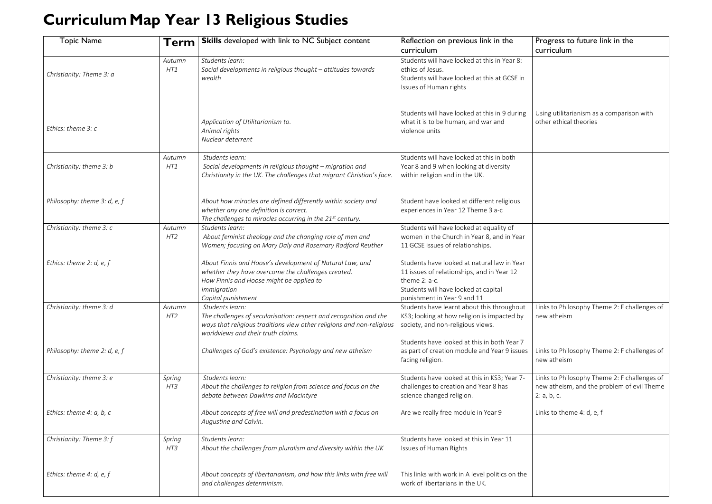## **CurriculumMap Year 13 Religious Studies**

## Progress to future link in the curriculum

Using utilitarianism as a comparison with other ethical theories

| <b>Topic Name</b>                | Term                      | <b>Skills</b> developed with link to NC Subject content                                                                                                                                             | Reflection on previous link in the                                                                                                                                                |  |
|----------------------------------|---------------------------|-----------------------------------------------------------------------------------------------------------------------------------------------------------------------------------------------------|-----------------------------------------------------------------------------------------------------------------------------------------------------------------------------------|--|
|                                  |                           |                                                                                                                                                                                                     | curriculum                                                                                                                                                                        |  |
| Christianity: Theme 3: a         | Autumn<br>HT1             | Students learn:<br>Social developments in religious thought - attitudes towards<br>wealth                                                                                                           | Students will have looked at this in Year 8:<br>ethics of Jesus.<br>Students will have looked at this at GCSE in<br>Issues of Human rights                                        |  |
| Ethics: theme 3: c               |                           | Application of Utilitarianism to.<br>Animal rights<br>Nuclear deterrent                                                                                                                             | Students will have looked at this in 9 during<br>what it is to be human, and war and<br>violence units                                                                            |  |
| Christianity: theme 3: b         | Autumn<br>HT1             | Students learn:<br>Social developments in religious thought - migration and<br>Christianity in the UK. The challenges that migrant Christian's face.                                                | Students will have looked at this in both<br>Year 8 and 9 when looking at diversity<br>within religion and in the UK.                                                             |  |
| Philosophy: theme 3: d, e, f     |                           | About how miracles are defined differently within society and<br>whether any one definition is correct.<br>The challenges to miracles occurring in the $21^{st}$ century.                           | Student have looked at different religious<br>experiences in Year 12 Theme 3 a-c                                                                                                  |  |
| Christianity: theme 3: c         | Autumn<br>HT <sub>2</sub> | Students learn:<br>About feminist theology and the changing role of men and<br>Women; focusing on Mary Daly and Rosemary Radford Reuther                                                            | Students will have looked at equality of<br>women in the Church in Year 8, and in Year<br>11 GCSE issues of relationships.                                                        |  |
| Ethics: theme 2: $d$ , $e$ , $f$ |                           | About Finnis and Hoose's development of Natural Law, and<br>whether they have overcome the challenges created.<br>How Finnis and Hoose might be applied to<br>Immigration<br>Capital punishment     | Students have looked at natural law in Year<br>11 issues of relationships, and in Year 12<br>theme 2: a-c.<br>Students will have looked at capital<br>punishment in Year 9 and 11 |  |
| Christianity: theme 3: d         | Autumn<br>HT <sub>2</sub> | Students learn:<br>The challenges of secularisation: respect and recognition and the<br>ways that religious traditions view other religions and non-religious<br>worldviews and their truth claims. | Students have learnt about this throughout<br>KS3; looking at how religion is impacted by<br>society, and non-religious views.                                                    |  |
| Philosophy: theme 2: d, e, f     |                           | Challenges of God's existence: Psychology and new atheism                                                                                                                                           | Students have looked at this in both Year 7<br>as part of creation module and Year 9 issues<br>facing religion.                                                                   |  |
| Christianity: theme 3: e         | Spring<br>HT3             | Students learn:<br>About the challenges to religion from science and focus on the<br>debate between Dawkins and Macintyre                                                                           | Students have looked at this in KS3; Year 7-<br>challenges to creation and Year 8 has<br>science changed religion.                                                                |  |
| Ethics: theme 4: a, b, c         |                           | About concepts of free will and predestination with a focus on<br>Augustine and Calvin.                                                                                                             | Are we really free module in Year 9                                                                                                                                               |  |
| Christianity: Theme 3: f         | Spring<br>HT3             | Students learn:<br>About the challenges from pluralism and diversity within the UK                                                                                                                  | Students have looked at this in Year 11<br>Issues of Human Rights                                                                                                                 |  |
| Ethics: theme 4: $d$ , e, $f$    |                           | About concepts of libertarianism, and how this links with free will<br>and challenges determinism.                                                                                                  | This links with work in A level politics on the<br>work of libertarians in the UK.                                                                                                |  |

Links to Philosophy Theme 2: F challenges of new atheism

Links to Philosophy Theme 2: F challenges of new atheism

Links to Philosophy Theme 2: F challenges of new atheism, and the problem of evil Theme 2: a, b, c.

Links to theme 4: d, e, f